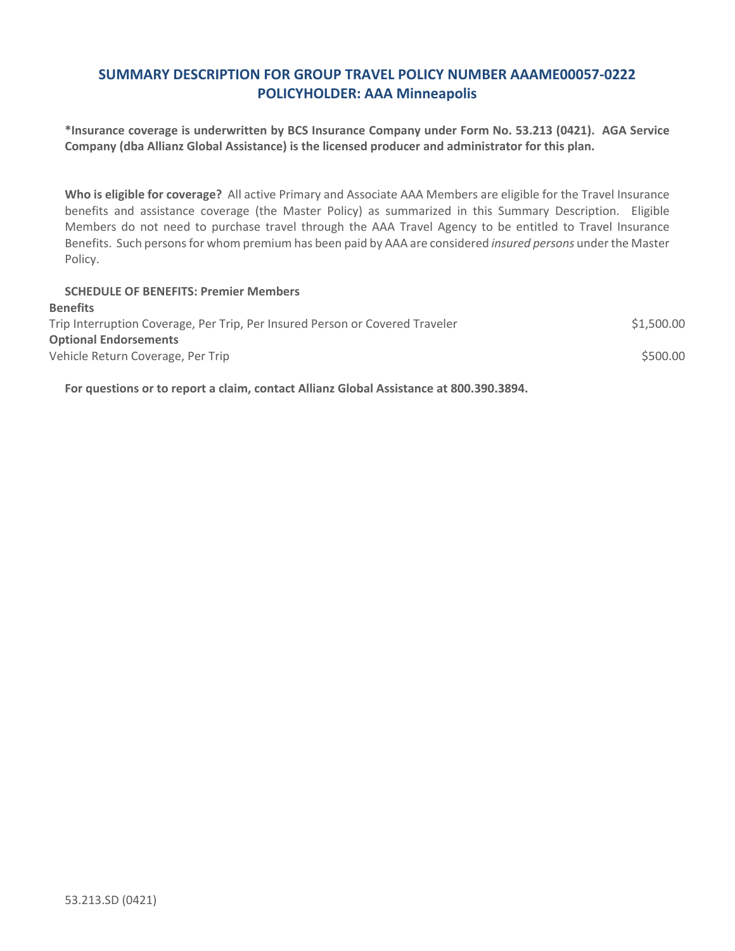# **SUMMARY DESCRIPTION FOR GROUP TRAVEL POLICY NUMBER AAAME00057-0222 POLICYHOLDER: AAA Minneapolis**

**\*Insurance coverage is underwritten by BCS Insurance Company under Form No. 53.213 (0421). AGA Service Company (dba Allianz Global Assistance) is the licensed producer and administrator for this plan.** 

**Who is eligible for coverage?** All active Primary and Associate AAA Members are eligible for the Travel Insurance benefits and assistance coverage (the Master Policy) as summarized in this Summary Description. Eligible Members do not need to purchase travel through the AAA Travel Agency to be entitled to Travel Insurance Benefits. Such persons for whom premium has been paid by AAA are considered *insured persons* under the Master Policy.

| <b>SCHEDULE OF BENEFITS: Premier Members</b>                                 |            |
|------------------------------------------------------------------------------|------------|
| <b>Benefits</b>                                                              |            |
| Trip Interruption Coverage, Per Trip, Per Insured Person or Covered Traveler | \$1,500.00 |
| <b>Optional Endorsements</b>                                                 |            |
| Vehicle Return Coverage, Per Trip                                            | \$500.00   |
|                                                                              |            |

**For questions or to report a claim, contact Allianz Global Assistance at 800.390.3894.**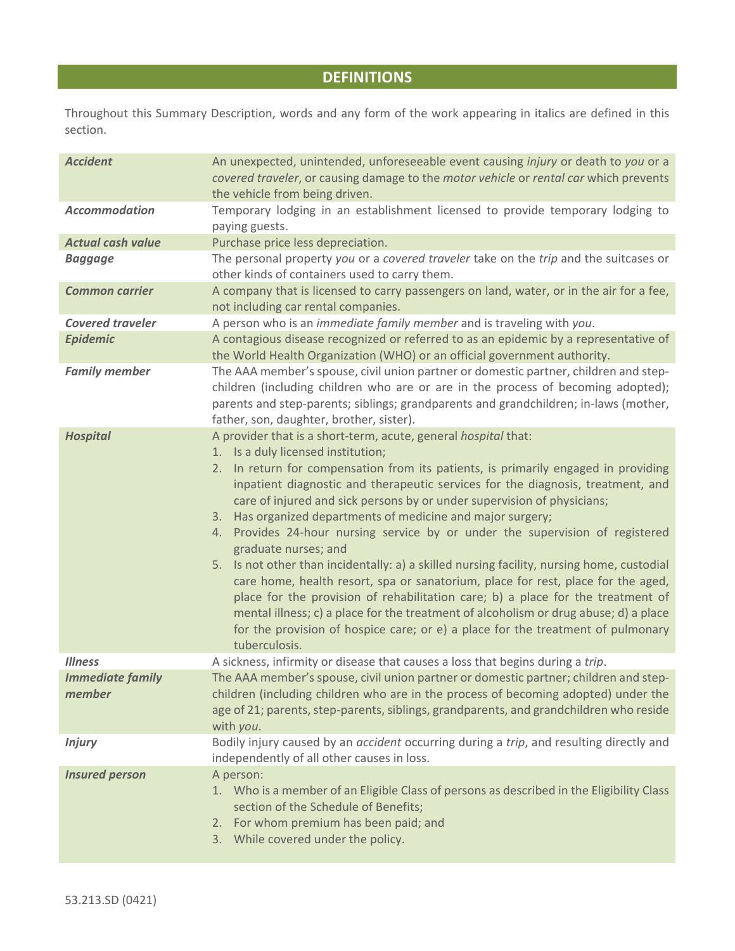# **DEFINITIONS**

Throughout this Summary Description, words and any form of the work appearing in italics are defined in this section.

| <b>Accident</b>                                     | An unexpected, unintended, unforeseeable event causing injury or death to you or a<br>covered traveler, or causing damage to the motor vehicle or rental car which prevents<br>the vehicle from being driven.                                                                                                                                                                                                                                                                                                                                                                                                                                                                                                                                                                                                                                                                                                                                                                                    |
|-----------------------------------------------------|--------------------------------------------------------------------------------------------------------------------------------------------------------------------------------------------------------------------------------------------------------------------------------------------------------------------------------------------------------------------------------------------------------------------------------------------------------------------------------------------------------------------------------------------------------------------------------------------------------------------------------------------------------------------------------------------------------------------------------------------------------------------------------------------------------------------------------------------------------------------------------------------------------------------------------------------------------------------------------------------------|
| <b>Accommodation</b>                                | Temporary lodging in an establishment licensed to provide temporary lodging to<br>paying guests.                                                                                                                                                                                                                                                                                                                                                                                                                                                                                                                                                                                                                                                                                                                                                                                                                                                                                                 |
| <b>Actual cash value</b>                            | Purchase price less depreciation.                                                                                                                                                                                                                                                                                                                                                                                                                                                                                                                                                                                                                                                                                                                                                                                                                                                                                                                                                                |
| <b>Baggage</b>                                      | The personal property you or a covered traveler take on the trip and the suitcases or<br>other kinds of containers used to carry them.                                                                                                                                                                                                                                                                                                                                                                                                                                                                                                                                                                                                                                                                                                                                                                                                                                                           |
| <b>Common carrier</b>                               | A company that is licensed to carry passengers on land, water, or in the air for a fee,<br>not including car rental companies.                                                                                                                                                                                                                                                                                                                                                                                                                                                                                                                                                                                                                                                                                                                                                                                                                                                                   |
| <b>Covered traveler</b>                             | A person who is an immediate family member and is traveling with you.                                                                                                                                                                                                                                                                                                                                                                                                                                                                                                                                                                                                                                                                                                                                                                                                                                                                                                                            |
| <b>Epidemic</b>                                     | A contagious disease recognized or referred to as an epidemic by a representative of<br>the World Health Organization (WHO) or an official government authority.                                                                                                                                                                                                                                                                                                                                                                                                                                                                                                                                                                                                                                                                                                                                                                                                                                 |
| <b>Family member</b>                                | The AAA member's spouse, civil union partner or domestic partner, children and step-<br>children (including children who are or are in the process of becoming adopted);<br>parents and step-parents; siblings; grandparents and grandchildren; in-laws (mother,<br>father, son, daughter, brother, sister).                                                                                                                                                                                                                                                                                                                                                                                                                                                                                                                                                                                                                                                                                     |
| <b>Hospital</b>                                     | A provider that is a short-term, acute, general hospital that:<br>1. Is a duly licensed institution;<br>2. In return for compensation from its patients, is primarily engaged in providing<br>inpatient diagnostic and therapeutic services for the diagnosis, treatment, and<br>care of injured and sick persons by or under supervision of physicians;<br>3. Has organized departments of medicine and major surgery;<br>4. Provides 24-hour nursing service by or under the supervision of registered<br>graduate nurses; and<br>5. Is not other than incidentally: a) a skilled nursing facility, nursing home, custodial<br>care home, health resort, spa or sanatorium, place for rest, place for the aged,<br>place for the provision of rehabilitation care; b) a place for the treatment of<br>mental illness; c) a place for the treatment of alcoholism or drug abuse; d) a place<br>for the provision of hospice care; or e) a place for the treatment of pulmonary<br>tuberculosis. |
| <b>Illness</b><br><b>Immediate family</b><br>member | A sickness, infirmity or disease that causes a loss that begins during a trip.<br>The AAA member's spouse, civil union partner or domestic partner; children and step-<br>children (including children who are in the process of becoming adopted) under the<br>age of 21; parents, step-parents, siblings, grandparents, and grandchildren who reside<br>with you.                                                                                                                                                                                                                                                                                                                                                                                                                                                                                                                                                                                                                              |
| <b>Injury</b>                                       | Bodily injury caused by an accident occurring during a trip, and resulting directly and<br>independently of all other causes in loss.                                                                                                                                                                                                                                                                                                                                                                                                                                                                                                                                                                                                                                                                                                                                                                                                                                                            |
| <b>Insured person</b>                               | A person:<br>1. Who is a member of an Eligible Class of persons as described in the Eligibility Class<br>section of the Schedule of Benefits;<br>2. For whom premium has been paid; and<br>3. While covered under the policy.                                                                                                                                                                                                                                                                                                                                                                                                                                                                                                                                                                                                                                                                                                                                                                    |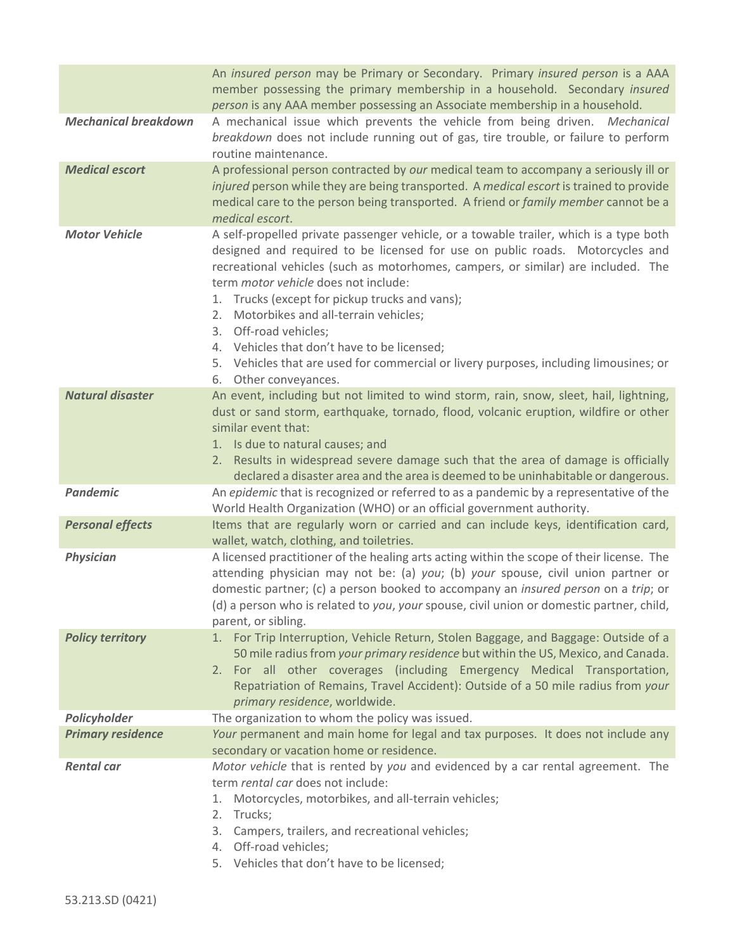|                             | An insured person may be Primary or Secondary. Primary insured person is a AAA<br>member possessing the primary membership in a household. Secondary insured<br>person is any AAA member possessing an Associate membership in a household.                                                                                                                                                                                                                                                                                                                                                 |
|-----------------------------|---------------------------------------------------------------------------------------------------------------------------------------------------------------------------------------------------------------------------------------------------------------------------------------------------------------------------------------------------------------------------------------------------------------------------------------------------------------------------------------------------------------------------------------------------------------------------------------------|
| <b>Mechanical breakdown</b> | A mechanical issue which prevents the vehicle from being driven. Mechanical<br>breakdown does not include running out of gas, tire trouble, or failure to perform<br>routine maintenance.                                                                                                                                                                                                                                                                                                                                                                                                   |
| <b>Medical escort</b>       | A professional person contracted by our medical team to accompany a seriously ill or<br>injured person while they are being transported. A medical escort is trained to provide<br>medical care to the person being transported. A friend or family member cannot be a<br>medical escort.                                                                                                                                                                                                                                                                                                   |
| <b>Motor Vehicle</b>        | A self-propelled private passenger vehicle, or a towable trailer, which is a type both<br>designed and required to be licensed for use on public roads. Motorcycles and<br>recreational vehicles (such as motorhomes, campers, or similar) are included. The<br>term motor vehicle does not include:<br>1. Trucks (except for pickup trucks and vans);<br>2. Motorbikes and all-terrain vehicles;<br>3. Off-road vehicles:<br>4. Vehicles that don't have to be licensed;<br>5. Vehicles that are used for commercial or livery purposes, including limousines; or<br>6. Other conveyances. |
| <b>Natural disaster</b>     | An event, including but not limited to wind storm, rain, snow, sleet, hail, lightning,<br>dust or sand storm, earthquake, tornado, flood, volcanic eruption, wildfire or other<br>similar event that:<br>1. Is due to natural causes; and<br>2. Results in widespread severe damage such that the area of damage is officially<br>declared a disaster area and the area is deemed to be uninhabitable or dangerous.                                                                                                                                                                         |
| <b>Pandemic</b>             | An epidemic that is recognized or referred to as a pandemic by a representative of the<br>World Health Organization (WHO) or an official government authority.                                                                                                                                                                                                                                                                                                                                                                                                                              |
| <b>Personal effects</b>     | Items that are regularly worn or carried and can include keys, identification card,<br>wallet, watch, clothing, and toiletries.                                                                                                                                                                                                                                                                                                                                                                                                                                                             |
| <b>Physician</b>            | A licensed practitioner of the healing arts acting within the scope of their license. The<br>attending physician may not be: (a) you; (b) your spouse, civil union partner or<br>domestic partner; (c) a person booked to accompany an <i>insured person</i> on a <i>trip</i> ; or<br>(d) a person who is related to you, your spouse, civil union or domestic partner, child,<br>parent, or sibling.                                                                                                                                                                                       |
| <b>Policy territory</b>     | 1. For Trip Interruption, Vehicle Return, Stolen Baggage, and Baggage: Outside of a<br>50 mile radius from your primary residence but within the US, Mexico, and Canada.<br>2. For all other coverages (including Emergency Medical Transportation,<br>Repatriation of Remains, Travel Accident): Outside of a 50 mile radius from your<br>primary residence, worldwide.                                                                                                                                                                                                                    |
| Policyholder                | The organization to whom the policy was issued.                                                                                                                                                                                                                                                                                                                                                                                                                                                                                                                                             |
| <b>Primary residence</b>    | Your permanent and main home for legal and tax purposes. It does not include any<br>secondary or vacation home or residence.                                                                                                                                                                                                                                                                                                                                                                                                                                                                |
| <b>Rental car</b>           | Motor vehicle that is rented by you and evidenced by a car rental agreement. The<br>term rental car does not include:<br>Motorcycles, motorbikes, and all-terrain vehicles;<br>1.<br>2. Trucks;<br>3. Campers, trailers, and recreational vehicles;<br>4. Off-road vehicles;<br>5. Vehicles that don't have to be licensed;                                                                                                                                                                                                                                                                 |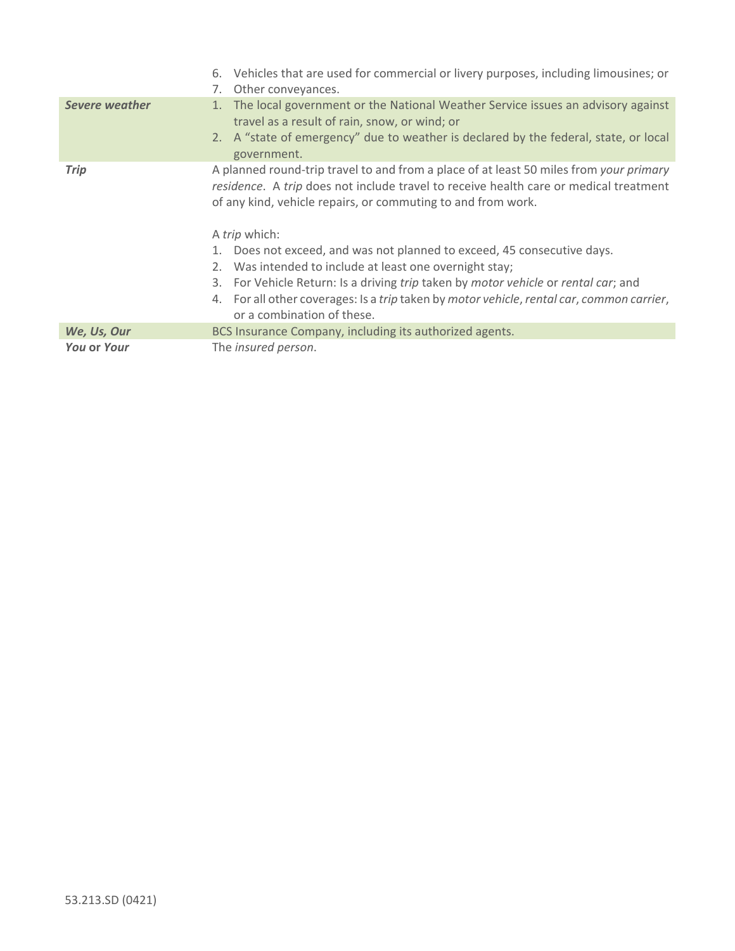|                       | 6. Vehicles that are used for commercial or livery purposes, including limousines; or<br>Other conveyances.<br>7.                                                                                                                                                                                                                                                                                                                                                                                                                                                                                                       |
|-----------------------|-------------------------------------------------------------------------------------------------------------------------------------------------------------------------------------------------------------------------------------------------------------------------------------------------------------------------------------------------------------------------------------------------------------------------------------------------------------------------------------------------------------------------------------------------------------------------------------------------------------------------|
| <b>Severe weather</b> | 1. The local government or the National Weather Service issues an advisory against<br>travel as a result of rain, snow, or wind; or<br>2. A "state of emergency" due to weather is declared by the federal, state, or local<br>government.                                                                                                                                                                                                                                                                                                                                                                              |
| <b>Trip</b>           | A planned round-trip travel to and from a place of at least 50 miles from your primary<br>residence. A trip does not include travel to receive health care or medical treatment<br>of any kind, vehicle repairs, or commuting to and from work.<br>A trip which:<br>Does not exceed, and was not planned to exceed, 45 consecutive days.<br>2. Was intended to include at least one overnight stay;<br>For Vehicle Return: Is a driving trip taken by motor vehicle or rental car; and<br>3.<br>4. For all other coverages: Is a trip taken by motor vehicle, rental car, common carrier,<br>or a combination of these. |
| We, Us, Our           | BCS Insurance Company, including its authorized agents.                                                                                                                                                                                                                                                                                                                                                                                                                                                                                                                                                                 |
|                       |                                                                                                                                                                                                                                                                                                                                                                                                                                                                                                                                                                                                                         |
| <b>You or Your</b>    | The insured person.                                                                                                                                                                                                                                                                                                                                                                                                                                                                                                                                                                                                     |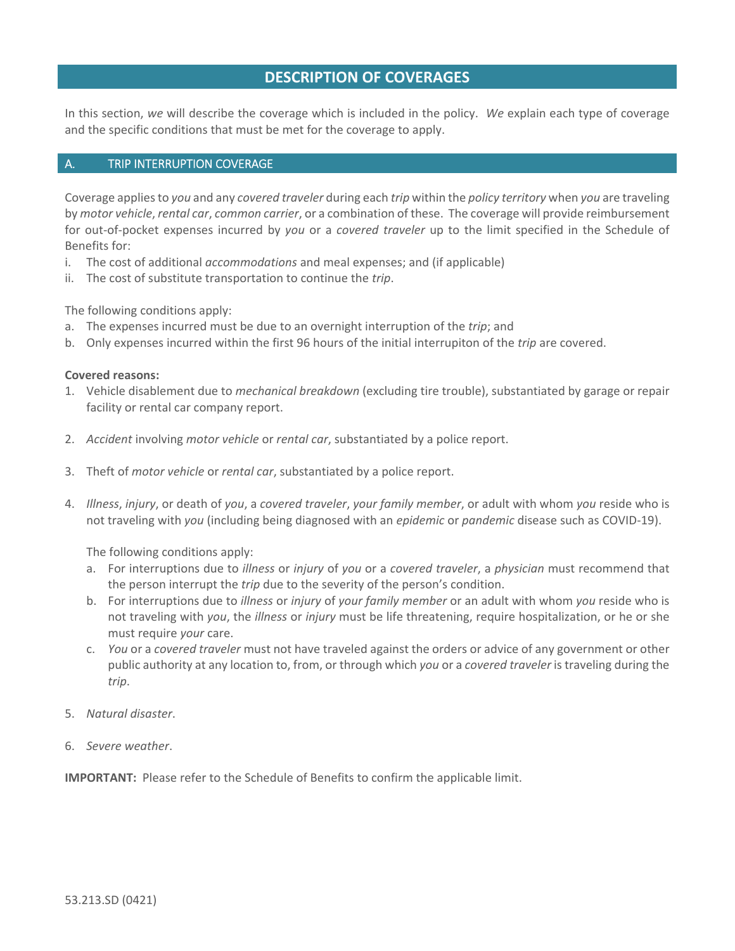# **DESCRIPTION OF COVERAGES**

In this section, *we* will describe the coverage which is included in the policy. *We* explain each type of coverage and the specific conditions that must be met for the coverage to apply.

#### A. TRIP INTERRUPTION COVERAGE

Coverage applies to *you* and any *covered traveler* during each *trip* within the *policy territory* when *you* are traveling by *motor vehicle*, *rental car*, *common carrier*, or a combination of these. The coverage will provide reimbursement for out-of-pocket expenses incurred by *you* or a *covered traveler* up to the limit specified in the Schedule of Benefits for:

- i. The cost of additional *accommodations* and meal expenses; and (if applicable)
- ii. The cost of substitute transportation to continue the *trip*.

The following conditions apply:

- a. The expenses incurred must be due to an overnight interruption of the *trip*; and
- b. Only expenses incurred within the first 96 hours of the initial interrupiton of the *trip* are covered.

#### **Covered reasons:**

- 1. Vehicle disablement due to *mechanical breakdown* (excluding tire trouble), substantiated by garage or repair facility or rental car company report.
- 2. *Accident* involving *motor vehicle* or *rental car*, substantiated by a police report.
- 3. Theft of *motor vehicle* or *rental car*, substantiated by a police report.
- 4. *Illness*, *injury*, or death of *you*, a *covered traveler*, *your family member*, or adult with whom *you* reside who is not traveling with *you* (including being diagnosed with an *epidemic* or *pandemic* disease such as COVID-19).

The following conditions apply:

- a. For interruptions due to *illness* or *injury* of *you* or a *covered traveler*, a *physician* must recommend that the person interrupt the *trip* due to the severity of the person's condition.
- b. For interruptions due to *illness* or *injury* of *your family member* or an adult with whom *you* reside who is not traveling with *you*, the *illness* or *injury* must be life threatening, require hospitalization, or he or she must require *your* care.
- c. *You* or a *covered traveler* must not have traveled against the orders or advice of any government or other public authority at any location to, from, or through which *you* or a *covered traveler* is traveling during the *trip*.
- 5. *Natural disaster*.
- 6. *Severe weather*.

**IMPORTANT:** Please refer to the Schedule of Benefits to confirm the applicable limit.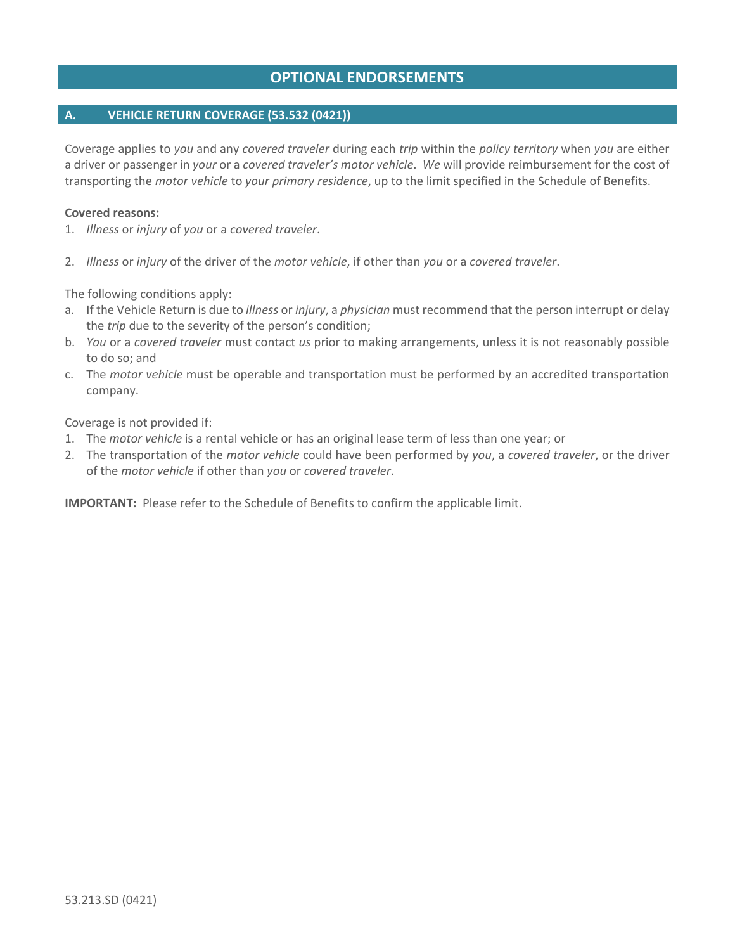# **OPTIONAL ENDORSEMENTS**

# **A. VEHICLE RETURN COVERAGE (53.532 (0421))**

Coverage applies to *you* and any *covered traveler* during each *trip* within the *policy territory* when *you* are either a driver or passenger in *your* or a *covered traveler's motor vehicle*. *We* will provide reimbursement for the cost of transporting the *motor vehicle* to *your primary residence*, up to the limit specified in the Schedule of Benefits.

#### **Covered reasons:**

- 1. *Illness* or *injury* of *you* or a *covered traveler*.
- 2. *Illness* or *injury* of the driver of the *motor vehicle*, if other than *you* or a *covered traveler*.

The following conditions apply:

- a. If the Vehicle Return is due to *illness* or *injury*, a *physician* must recommend that the person interrupt or delay the *trip* due to the severity of the person's condition;
- b. *You* or a *covered traveler* must contact *us* prior to making arrangements, unless it is not reasonably possible to do so; and
- c. The *motor vehicle* must be operable and transportation must be performed by an accredited transportation company.

Coverage is not provided if:

- 1. The *motor vehicle* is a rental vehicle or has an original lease term of less than one year; or
- 2. The transportation of the *motor vehicle* could have been performed by *you*, a *covered traveler*, or the driver of the *motor vehicle* if other than *you* or *covered traveler*.

**IMPORTANT:** Please refer to the Schedule of Benefits to confirm the applicable limit.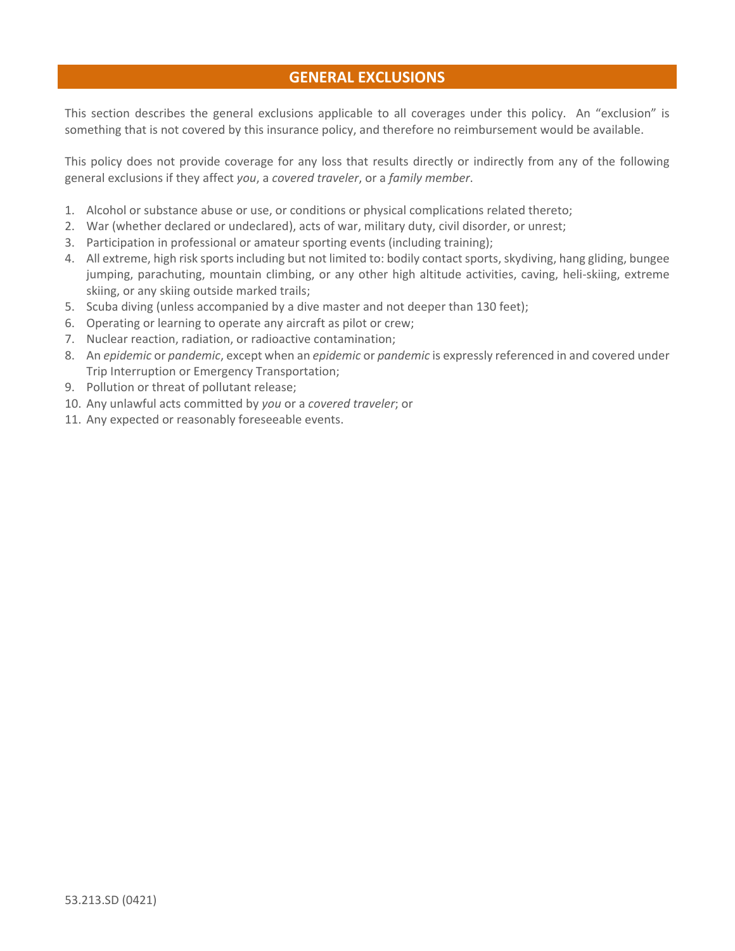# **GENERAL EXCLUSIONS**

This section describes the general exclusions applicable to all coverages under this policy. An "exclusion" is something that is not covered by this insurance policy, and therefore no reimbursement would be available.

This policy does not provide coverage for any loss that results directly or indirectly from any of the following general exclusions if they affect *you*, a *covered traveler*, or a *family member*.

- 1. Alcohol or substance abuse or use, or conditions or physical complications related thereto;
- 2. War (whether declared or undeclared), acts of war, military duty, civil disorder, or unrest;
- 3. Participation in professional or amateur sporting events (including training);
- 4. All extreme, high risk sports including but not limited to: bodily contact sports, skydiving, hang gliding, bungee jumping, parachuting, mountain climbing, or any other high altitude activities, caving, heli-skiing, extreme skiing, or any skiing outside marked trails;
- 5. Scuba diving (unless accompanied by a dive master and not deeper than 130 feet);
- 6. Operating or learning to operate any aircraft as pilot or crew;
- 7. Nuclear reaction, radiation, or radioactive contamination;
- 8. An *epidemic* or *pandemic*, except when an *epidemic* or *pandemic* is expressly referenced in and covered under Trip Interruption or Emergency Transportation;
- 9. Pollution or threat of pollutant release;
- 10. Any unlawful acts committed by *you* or a *covered traveler*; or
- 11. Any expected or reasonably foreseeable events.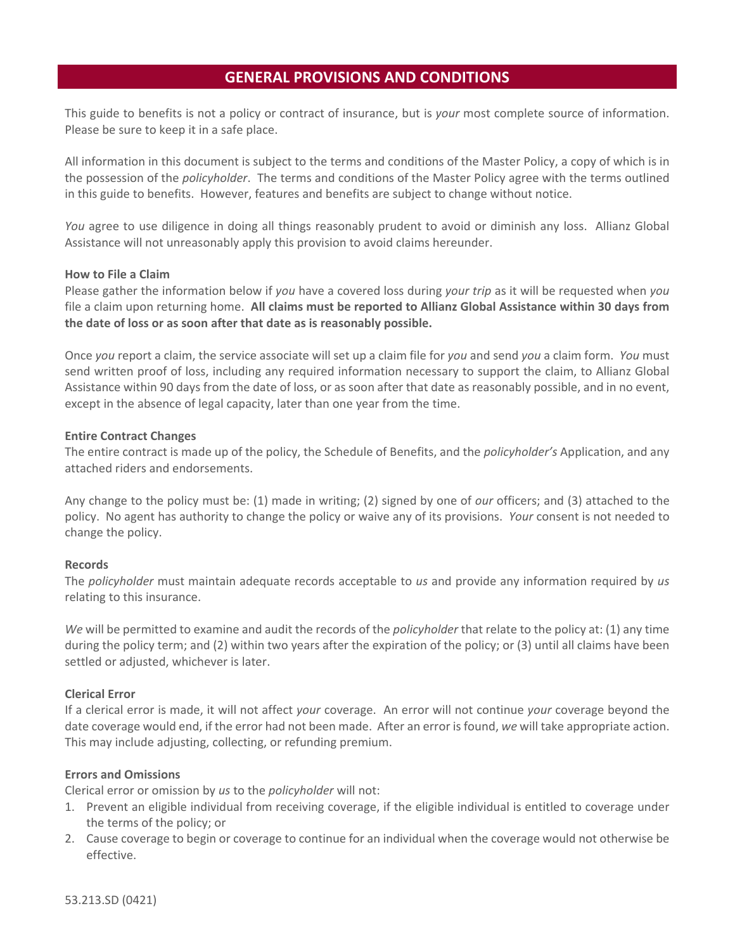# **GENERAL PROVISIONS AND CONDITIONS**

This guide to benefits is not a policy or contract of insurance, but is *your* most complete source of information. Please be sure to keep it in a safe place.

All information in this document is subject to the terms and conditions of the Master Policy, a copy of which is in the possession of the *policyholder*. The terms and conditions of the Master Policy agree with the terms outlined in this guide to benefits. However, features and benefits are subject to change without notice.

*You* agree to use diligence in doing all things reasonably prudent to avoid or diminish any loss. Allianz Global Assistance will not unreasonably apply this provision to avoid claims hereunder.

#### **How to File a Claim**

Please gather the information below if *you* have a covered loss during *your trip* as it will be requested when *you*  file a claim upon returning home. **All claims must be reported to Allianz Global Assistance within 30 days from the date of loss or as soon after that date as is reasonably possible.**

Once *you* report a claim, the service associate will set up a claim file for *you* and send *you* a claim form. *You* must send written proof of loss, including any required information necessary to support the claim, to Allianz Global Assistance within 90 days from the date of loss, or as soon after that date as reasonably possible, and in no event, except in the absence of legal capacity, later than one year from the time.

#### **Entire Contract Changes**

The entire contract is made up of the policy, the Schedule of Benefits, and the *policyholder's* Application, and any attached riders and endorsements.

Any change to the policy must be: (1) made in writing; (2) signed by one of *our* officers; and (3) attached to the policy. No agent has authority to change the policy or waive any of its provisions. *Your* consent is not needed to change the policy.

#### **Records**

The *policyholder* must maintain adequate records acceptable to *us* and provide any information required by *us*  relating to this insurance.

*We* will be permitted to examine and audit the records of the *policyholder* that relate to the policy at: (1) any time during the policy term; and (2) within two years after the expiration of the policy; or (3) until all claims have been settled or adjusted, whichever is later.

#### **Clerical Error**

If a clerical error is made, it will not affect *your* coverage. An error will not continue *your* coverage beyond the date coverage would end, if the error had not been made. After an error is found, *we* will take appropriate action. This may include adjusting, collecting, or refunding premium.

#### **Errors and Omissions**

Clerical error or omission by *us* to the *policyholder* will not:

- 1. Prevent an eligible individual from receiving coverage, if the eligible individual is entitled to coverage under the terms of the policy; or
- 2. Cause coverage to begin or coverage to continue for an individual when the coverage would not otherwise be effective.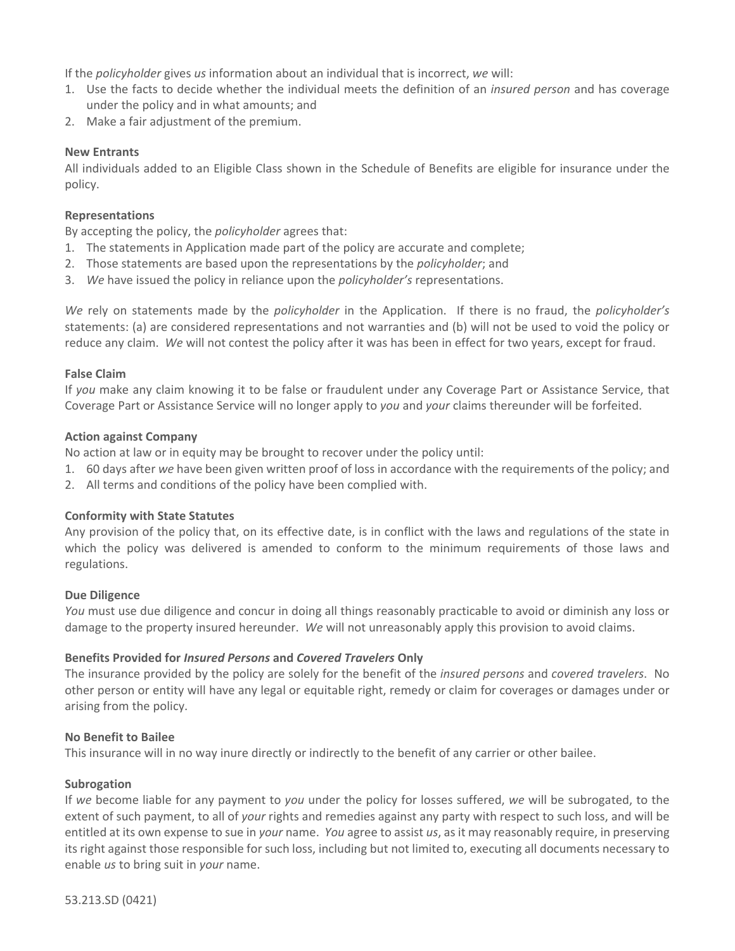If the *policyholder* gives *us* information about an individual that is incorrect, *we* will:

- 1. Use the facts to decide whether the individual meets the definition of an *insured person* and has coverage under the policy and in what amounts; and
- 2. Make a fair adjustment of the premium.

# **New Entrants**

All individuals added to an Eligible Class shown in the Schedule of Benefits are eligible for insurance under the policy.

# **Representations**

By accepting the policy, the *policyholder* agrees that:

- 1. The statements in Application made part of the policy are accurate and complete;
- 2. Those statements are based upon the representations by the *policyholder*; and
- 3. *We* have issued the policy in reliance upon the *policyholder's* representations.

*We* rely on statements made by the *policyholder* in the Application. If there is no fraud, the *policyholder's*  statements: (a) are considered representations and not warranties and (b) will not be used to void the policy or reduce any claim. *We* will not contest the policy after it was has been in effect for two years, except for fraud.

# **False Claim**

If *you* make any claim knowing it to be false or fraudulent under any Coverage Part or Assistance Service, that Coverage Part or Assistance Service will no longer apply to *you* and *your* claims thereunder will be forfeited.

# **Action against Company**

No action at law or in equity may be brought to recover under the policy until:

- 1. 60 days after *we* have been given written proof of loss in accordance with the requirements of the policy; and
- 2. All terms and conditions of the policy have been complied with.

# **Conformity with State Statutes**

Any provision of the policy that, on its effective date, is in conflict with the laws and regulations of the state in which the policy was delivered is amended to conform to the minimum requirements of those laws and regulations.

# **Due Diligence**

*You* must use due diligence and concur in doing all things reasonably practicable to avoid or diminish any loss or damage to the property insured hereunder. *We* will not unreasonably apply this provision to avoid claims.

# **Benefits Provided for** *Insured Persons* **and** *Covered Travelers* **Only**

The insurance provided by the policy are solely for the benefit of the *insured persons* and *covered travelers*. No other person or entity will have any legal or equitable right, remedy or claim for coverages or damages under or arising from the policy.

# **No Benefit to Bailee**

This insurance will in no way inure directly or indirectly to the benefit of any carrier or other bailee.

# **Subrogation**

If *we* become liable for any payment to *you* under the policy for losses suffered, *we* will be subrogated, to the extent of such payment, to all of *your* rights and remedies against any party with respect to such loss, and will be entitled at its own expense to sue in *your* name. *You* agree to assist *us*, as it may reasonably require, in preserving its right against those responsible for such loss, including but not limited to, executing all documents necessary to enable *us* to bring suit in *your* name.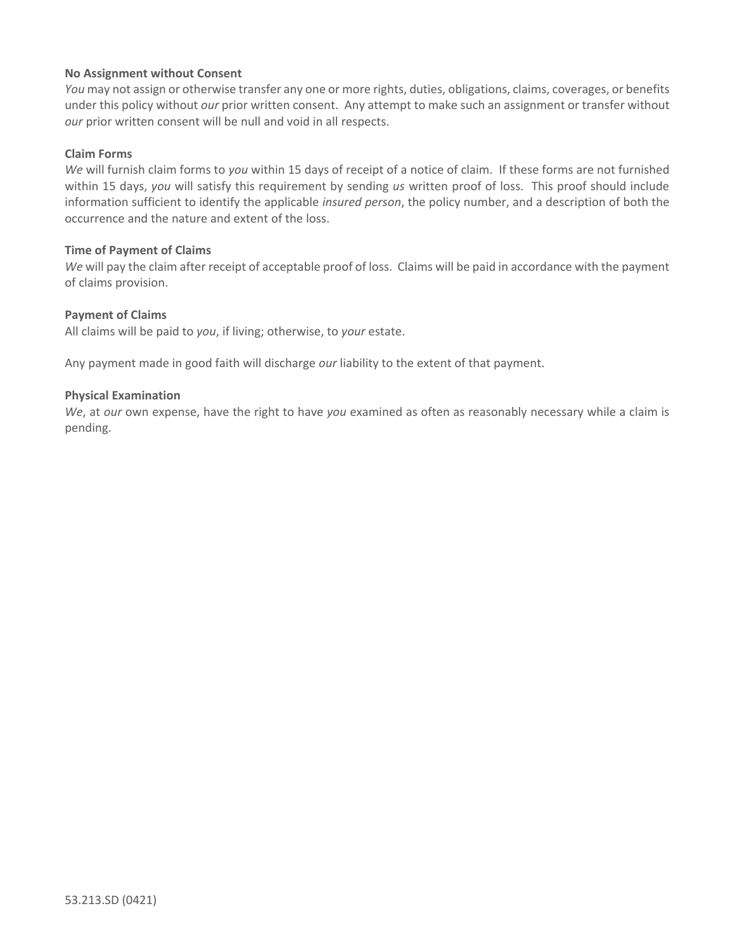# **No Assignment without Consent**

*You* may not assign or otherwise transfer any one or more rights, duties, obligations, claims, coverages, or benefits under this policy without *our* prior written consent. Any attempt to make such an assignment or transfer without *our* prior written consent will be null and void in all respects.

#### **Claim Forms**

*We* will furnish claim forms to *you* within 15 days of receipt of a notice of claim. If these forms are not furnished within 15 days, *you* will satisfy this requirement by sending *us* written proof of loss. This proof should include information sufficient to identify the applicable *insured person*, the policy number, and a description of both the occurrence and the nature and extent of the loss.

#### **Time of Payment of Claims**

*We* will pay the claim after receipt of acceptable proof of loss. Claims will be paid in accordance with the payment of claims provision.

#### **Payment of Claims**

All claims will be paid to *you*, if living; otherwise, to *your* estate.

Any payment made in good faith will discharge *our* liability to the extent of that payment.

#### **Physical Examination**

*We*, at *our* own expense, have the right to have *you* examined as often as reasonably necessary while a claim is pending.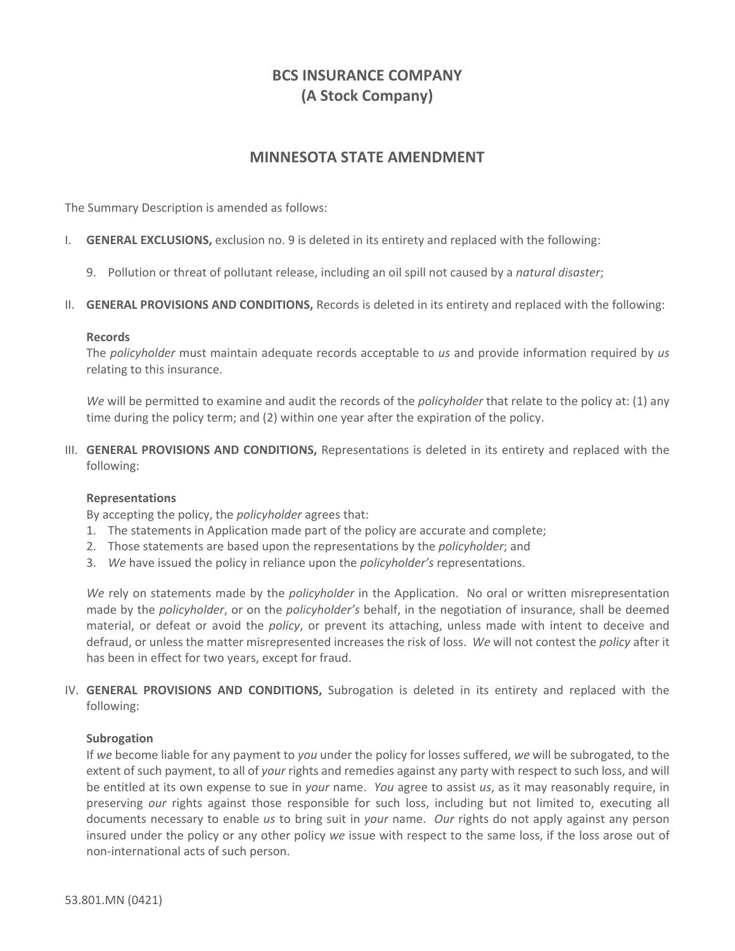# **BCS INSURANCE COMPANY (A Stock Company)**

# **MINNESOTA STATE AMENDMENT**

The Summary Description is amended as follows:

- I. **GENERAL EXCLUSIONS,** exclusion no. 9 is deleted in its entirety and replaced with the following:
	- 9. Pollution or threat of pollutant release, including an oil spill not caused by a *natural disaster*;
- II. **GENERAL PROVISIONS AND CONDITIONS,** Records is deleted in its entirety and replaced with the following:

# **Records**

The *policyholder* must maintain adequate records acceptable to *us* and provide information required by *us*  relating to this insurance.

*We* will be permitted to examine and audit the records of the *policyholder* that relate to the policy at: (1) any time during the policy term; and (2) within one year after the expiration of the policy.

III. **GENERAL PROVISIONS AND CONDITIONS,** Representations is deleted in its entirety and replaced with the following:

# **Representations**

By accepting the policy, the *policyholder* agrees that:

- 1. The statements in Application made part of the policy are accurate and complete;
- 2. Those statements are based upon the representations by the *policyholder*; and
- 3. *We* have issued the policy in reliance upon the *policyholder's* representations.

*We* rely on statements made by the *policyholder* in the Application. No oral or written misrepresentation made by the *policyholder*, or on the *policyholder's* behalf, in the negotiation of insurance, shall be deemed material, or defeat or avoid the *policy*, or prevent its attaching, unless made with intent to deceive and defraud, or unless the matter misrepresented increases the risk of loss. *We* will not contest the *policy* after it has been in effect for two years, except for fraud.

IV. **GENERAL PROVISIONS AND CONDITIONS,** Subrogation is deleted in its entirety and replaced with the following:

# **Subrogation**

If *we* become liable for any payment to *you* under the policy for losses suffered, *we* will be subrogated, to the extent of such payment, to all of *your* rights and remedies against any party with respect to such loss, and will be entitled at its own expense to sue in *your* name. *You* agree to assist *us*, as it may reasonably require, in preserving *our* rights against those responsible for such loss, including but not limited to, executing all documents necessary to enable *us* to bring suit in *your* name. *Our* rights do not apply against any person insured under the policy or any other policy *we* issue with respect to the same loss, if the loss arose out of non-international acts of such person.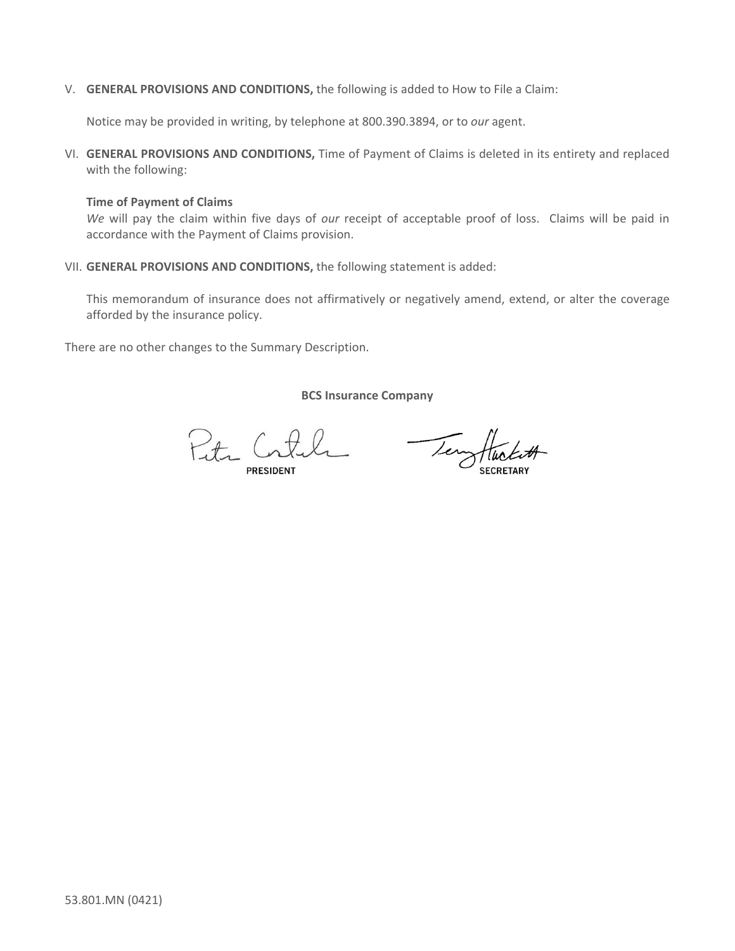V. **GENERAL PROVISIONS AND CONDITIONS,** the following is added to How to File a Claim:

Notice may be provided in writing, by telephone at 800.390.3894, or to *our* agent.

VI. **GENERAL PROVISIONS AND CONDITIONS,** Time of Payment of Claims is deleted in its entirety and replaced with the following:

#### **Time of Payment of Claims**

*We* will pay the claim within five days of *our* receipt of acceptable proof of loss. Claims will be paid in accordance with the Payment of Claims provision.

VII. **GENERAL PROVISIONS AND CONDITIONS,** the following statement is added:

This memorandum of insurance does not affirmatively or negatively amend, extend, or alter the coverage afforded by the insurance policy.

There are no other changes to the Summary Description.

#### **BCS Insurance Company**

Petr Cortale

Templatet